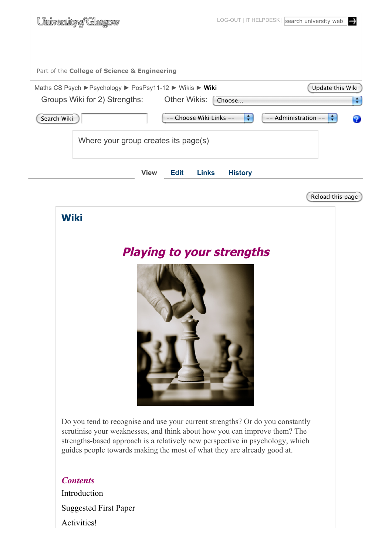| <u>University of Glasgow</u>                             |                                      |                                | LOG-OUT   IT HELPDESK   search university web<br>$\rightarrow$ |
|----------------------------------------------------------|--------------------------------------|--------------------------------|----------------------------------------------------------------|
| Part of the College of Science & Engineering             |                                      |                                |                                                                |
| Maths CS Psych ▶ Psychology ▶ PosPsy11-12 ▶ Wikis ▶ Wiki |                                      |                                | Update this Wiki                                               |
| Groups Wiki for 2) Strengths:                            | Other Wikis:                         | Choose                         | ÷                                                              |
| Search Wiki:                                             | -- Choose Wiki Links --              | ÷                              | ÷<br>-- Administration --<br>2                                 |
|                                                          | Where your group creates its page(s) |                                |                                                                |
|                                                          | <b>View</b><br><b>Edit</b>           | <b>Links</b><br><b>History</b> |                                                                |
|                                                          |                                      |                                | Reload this page                                               |
| <b>Wiki</b>                                              |                                      |                                |                                                                |
|                                                          | <b>Playing to your strengths</b>     |                                |                                                                |



Do you tend to recognise and use your current strengths? Or do you constantly scrutinise your weaknesses, and think about how you can improve them? The strengths-based approach is a relatively new perspective in psychology, which guides people towards making the most of what they are already good at.

# *Contents* Introduction Suggested First Paper Activities!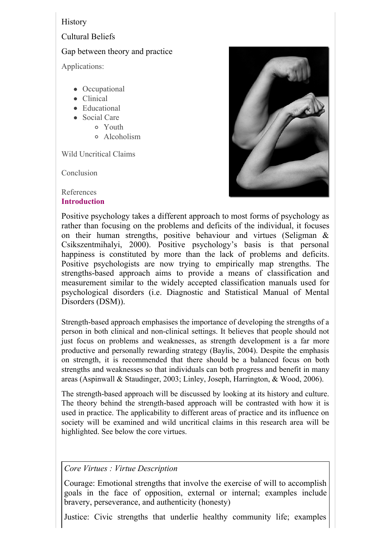## **History**

Cultural Beliefs

## Gap between theory and practice

Applications:

- Occupational
- Clinical
- Educational
- Social Care
	- Youth
		- Alcoholism

Wild Uncritical Claims

**Conclusion** 

#### References **Introduction**



Positive psychology takes a different approach to most forms of psychology as rather than focusing on the problems and deficits of the individual, it focuses on their human strengths, positive behaviour and virtues (Seligman & Csikszentmihalyi, 2000). Positive psychology's basis is that personal happiness is constituted by more than the lack of problems and deficits. Positive psychologists are now trying to empirically map strengths. The strengths-based approach aims to provide a means of classification and measurement similar to the widely accepted classification manuals used for psychological disorders (i.e. Diagnostic and Statistical Manual of Mental Disorders (DSM)).

Strength-based approach emphasises the importance of developing the strengths of a person in both clinical and non-clinical settings. It believes that people should not just focus on problems and weaknesses, as strength development is a far more productive and personally rewarding strategy (Baylis, 2004). Despite the emphasis on strength, it is recommended that there should be a balanced focus on both strengths and weaknesses so that individuals can both progress and benefit in many areas (Aspinwall & Staudinger, 2003; Linley, Joseph, Harrington, & Wood, 2006).

The strength-based approach will be discussed by looking at its history and culture. The theory behind the strength-based approach will be contrasted with how it is used in practice. The applicability to different areas of practice and its influence on society will be examined and wild uncritical claims in this research area will be highlighted. See below the core virtues.

## *Core Virtues : Virtue Description*

Courage: Emotional strengths that involve the exercise of will to accomplish goals in the face of opposition, external or internal; examples include bravery, perseverance, and authenticity (honesty)

Justice: Civic strengths that underlie healthy community life; examples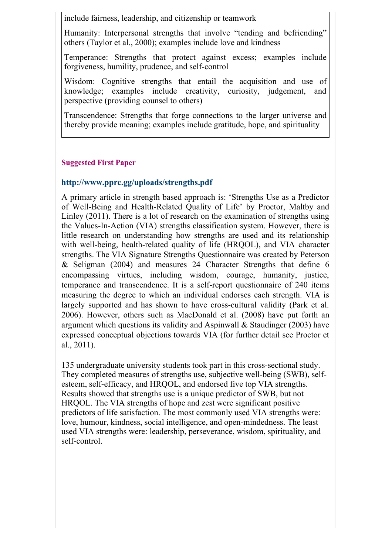include fairness, leadership, and citizenship or teamwork

Humanity: Interpersonal strengths that involve "tending and befriending" others (Taylor et al., 2000); examples include love and kindness

Temperance: Strengths that protect against excess; examples include forgiveness, humility, prudence, and self-control

Wisdom: Cognitive strengths that entail the acquisition and use of knowledge; examples include creativity, curiosity, judgement, and perspective (providing counsel to others)

Transcendence: Strengths that forge connections to the larger universe and thereby provide meaning; examples include gratitude, hope, and spirituality

#### **Suggested First Paper**

### **http://www.pprc.gg/uploads/strengths.pdf**

A primary article in strength based approach is: 'Strengths Use as a Predictor of Well-Being and Health-Related Quality of Life' by Proctor, Maltby and Linley (2011). There is a lot of research on the examination of strengths using the Values-In-Action (VIA) strengths classification system. However, there is little research on understanding how strengths are used and its relationship with well-being, health-related quality of life (HRQOL), and VIA character strengths. The VIA Signature Strengths Questionnaire was created by Peterson & Seligman (2004) and measures 24 Character Strengths that define 6 encompassing virtues, including wisdom, courage, humanity, justice, temperance and transcendence. It is a self-report questionnaire of 240 items measuring the degree to which an individual endorses each strength. VIA is largely supported and has shown to have cross-cultural validity (Park et al. 2006). However, others such as MacDonald et al. (2008) have put forth an argument which questions its validity and Aspinwall & Staudinger (2003) have expressed conceptual objections towards VIA (for further detail see Proctor et al., 2011).

135 undergraduate university students took part in this cross-sectional study. They completed measures of strengths use, subjective well-being (SWB), selfesteem, self-efficacy, and HRQOL, and endorsed five top VIA strengths. Results showed that strengths use is a unique predictor of SWB, but not HRQOL. The VIA strengths of hope and zest were significant positive predictors of life satisfaction. The most commonly used VIA strengths were: love, humour, kindness, social intelligence, and open-mindedness. The least used VIA strengths were: leadership, perseverance, wisdom, spirituality, and self-control.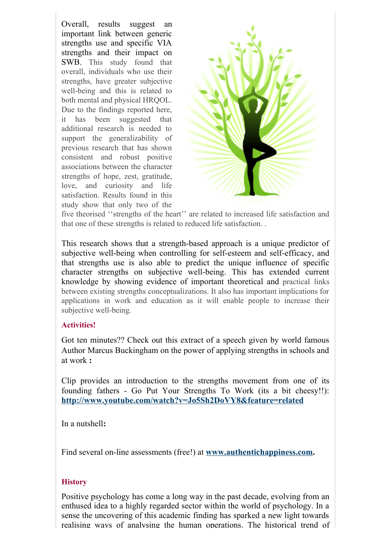Overall, results suggest an important link between generic strengths use and specific VIA strengths and their impact on SWB. This study found that overall, individuals who use their strengths, have greater subjective well-being and this is related to both mental and physical HRQOL. Due to the findings reported here, it has been suggested that additional research is needed to support the generalizability of previous research that has shown consistent and robust positive associations between the character strengths of hope, zest, gratitude, love, and curiosity and life satisfaction. Results found in this study show that only two of the



five theorised ''strengths of the heart'' are related to increased life satisfaction and that one of these strengths is related to reduced life satisfaction. .

This research shows that a strength-based approach is a unique predictor of subjective well-being when controlling for self-esteem and self-efficacy, and that strengths use is also able to predict the unique influence of specific character strengths on subjective well-being. This has extended current knowledge by showing evidence of important theoretical and practical links between existing strengths conceptualizations. It also has important implications for applications in work and education as it will enable people to increase their subjective well-being.

#### **Activities!**

Got ten minutes?? Check out this extract of a speech given by world famous Author Marcus Buckingham on the power of applying strengths in schools and at work **:**

Clip provides an introduction to the strengths movement from one of its founding fathers - Go Put Your Strengths To Work (its a bit cheesy!!): **http://www.youtube.com/watch?v=Jo5Sh2DoVY8&feature=related**

In a nutshell**:**

Find several on-line assessments (free!) at **www.authentichappiness.com.**

## **History**

Positive psychology has come a long way in the past decade, evolving from an enthused idea to a highly regarded sector within the world of psychology. In a sense the uncovering of this academic finding has sparked a new light towards realising ways of analysing the human operations. The historical trend of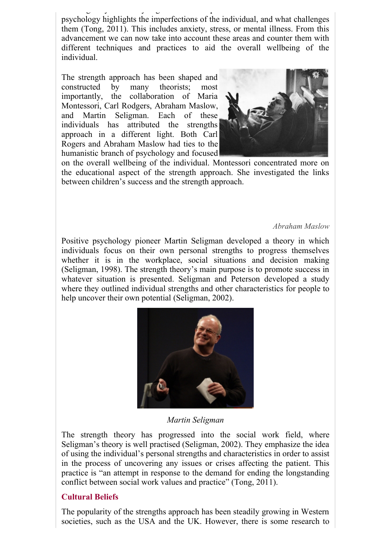realising ways of analysing the human operations. The historical trend of psychology highlights the imperfections of the individual, and what challenges them (Tong, 2011). This includes anxiety, stress, or mental illness. From this advancement we can now take into account these areas and counter them with different techniques and practices to aid the overall wellbeing of the individual.

The strength approach has been shaped and constructed by many theorists; most importantly, the collaboration of Maria Montessori, Carl Rodgers, Abraham Maslow, and Martin Seligman. Each of these individuals has attributed the strengths approach in a different light. Both Carl Rogers and Abraham Maslow had ties to the humanistic branch of psychology and focused



on the overall wellbeing of the individual. Montessori concentrated more on the educational aspect of the strength approach. She investigated the links between children's success and the strength approach.

#### *Abraham Maslow*

Positive psychology pioneer Martin Seligman developed a theory in which individuals focus on their own personal strengths to progress themselves whether it is in the workplace, social situations and decision making (Seligman, 1998). The strength theory's main purpose is to promote success in whatever situation is presented. Seligman and Peterson developed a study where they outlined individual strengths and other characteristics for people to help uncover their own potential (Seligman, 2002).



*Martin Seligman*

The strength theory has progressed into the social work field, where Seligman's theory is well practised (Seligman, 2002). They emphasize the idea of using the individual's personal strengths and characteristics in order to assist in the process of uncovering any issues or crises affecting the patient. This practice is "an attempt in response to the demand for ending the longstanding conflict between social work values and practice" (Tong, 2011).

#### **Cultural Beliefs**

The popularity of the strengths approach has been steadily growing in Western societies, such as the USA and the UK. However, there is some research to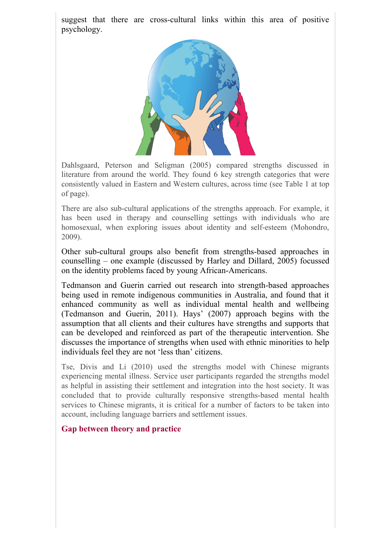suggest that there are cross-cultural links within this area of positive psychology.



Dahlsgaard, Peterson and Seligman (2005) compared strengths discussed in literature from around the world. They found 6 key strength categories that were consistently valued in Eastern and Western cultures, across time (see Table 1 at top of page).

There are also sub-cultural applications of the strengths approach. For example, it has been used in therapy and counselling settings with individuals who are homosexual, when exploring issues about identity and self-esteem (Mohondro, 2009).

Other sub-cultural groups also benefit from strengths-based approaches in counselling – one example (discussed by Harley and Dillard, 2005) focussed on the identity problems faced by young African-Americans.

Tedmanson and Guerin carried out research into strength-based approaches being used in remote indigenous communities in Australia, and found that it enhanced community as well as individual mental health and wellbeing (Tedmanson and Guerin, 2011). Hays' (2007) approach begins with the assumption that all clients and their cultures have strengths and supports that can be developed and reinforced as part of the therapeutic intervention. She discusses the importance of strengths when used with ethnic minorities to help individuals feel they are not 'less than' citizens.

Tse, Divis and Li (2010) used the strengths model with Chinese migrants experiencing mental illness. Service user participants regarded the strengths model as helpful in assisting their settlement and integration into the host society. It was concluded that to provide culturally responsive strengths-based mental health services to Chinese migrants, it is critical for a number of factors to be taken into account, including language barriers and settlement issues.

#### **Gap between theory and practice**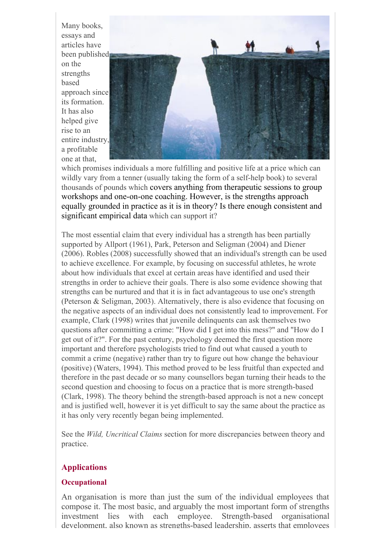Many books, essays and articles have been published on the strengths based approach since its formation. It has also helped give rise to an entire industry, a profitable one at that,



which promises individuals a more fulfilling and positive life at a price which can wildly vary from a tenner (usually taking the form of a self-help book) to several thousands of pounds which covers anything from therapeutic sessions to group workshops and one-on-one coaching. However, is the strengths approach equally grounded in practice as it is in theory? Is there enough consistent and significant empirical data which can support it?

The most essential claim that every individual has a strength has been partially supported by Allport (1961), Park, Peterson and Seligman (2004) and Diener (2006). Robles (2008) successfully showed that an individual's strength can be used to achieve excellence. For example, by focusing on successful athletes, he wrote about how individuals that excel at certain areas have identified and used their strengths in order to achieve their goals. There is also some evidence showing that strengths can be nurtured and that it is in fact advantageous to use one's strength (Peterson & Seligman, 2003). Alternatively, there is also evidence that focusing on the negative aspects of an individual does not consistently lead to improvement. For example, Clark (1998) writes that juvenile delinquents can ask themselves two questions after committing a crime: "How did I get into this mess?" and "How do I get out of it?". For the past century, psychology deemed the first question more important and therefore psychologists tried to find out what caused a youth to commit a crime (negative) rather than try to figure out how change the behaviour (positive) (Waters, 1994). This method proved to be less fruitful than expected and therefore in the past decade or so many counsellors began turning their heads to the second question and choosing to focus on a practice that is more strength-based (Clark, 1998). The theory behind the strength-based approach is not a new concept and is justified well, however it is yet difficult to say the same about the practice as it has only very recently began being implemented.

See the *Wild, Uncritical Claims* section for more discrepancies between theory and practice.

## **Applications**

#### **Occupational**

An organisation is more than just the sum of the individual employees that compose it. The most basic, and arguably the most important form of strengths investment lies with each employee. Strength-based organisational development, also known as strengths-based leadership, asserts that employees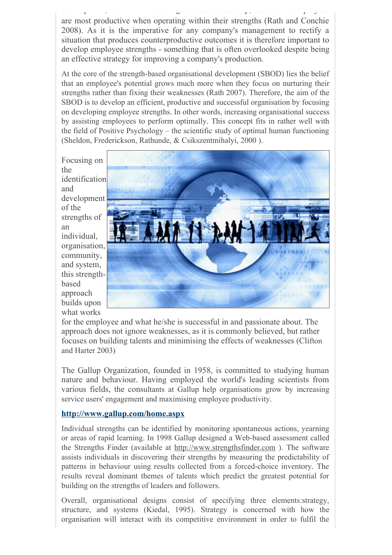development, also known as strengths-based leadership, asserts-based leadership, asserts that employees are most productive when operating within their strengths (Rath and Conchie 2008). As it is the imperative for any company's management to rectify a situation that produces counterproductive outcomes it is therefore important to develop employee strengths - something that is often overlooked despite being an effective strategy for improving a company's production.

At the core of the strength-based organisational development (SBOD) lies the belief that an employee's potential grows much more when they focus on nurturing their strengths rather than fixing their weaknesses (Rath 2007). Therefore, the aim of the SBOD is to develop an efficient, productive and successful organisation by focusing on developing employee strengths. In other words, increasing organisational success by assisting employees to perform optimally. This concept fits in rather well with the field of Positive Psychology – the scientific study of optimal human functioning (Sheldon, Frederickson, Rathunde, & Csikszentmihalyi, 2000 ).

Focusing on the identification and development of the strengths of an individual, organisation, community, and system, this strengthbased approach builds upon what works



for the employee and what he/she is successful in and passionate about. The approach does not ignore weaknesses, as it is commonly believed, but rather focuses on building talents and minimising the effects of weaknesses (Clifton and Harter 2003)

The Gallup Organization, founded in 1958, is committed to studying human nature and behaviour. Having employed the world's leading scientists from various fields, the consultants at Gallup help organisations grow by increasing service users' engagement and maximising employee productivity.

#### **http://www.gallup.com/home.aspx**

Individual strengths can be identified by monitoring spontaneous actions, yearning or areas of rapid learning. In 1998 Gallup designed a Web-based assessment called the Strengths Finder (available at http://www.strengthsfinder.com ). The software assists individuals in discovering their strengths by measuring the predictability of patterns in behaviour using results collected from a forced-choice inventory. The results reveal dominant themes of talents which predict the greatest potential for building on the strengths of leaders and followers.

Overall, organisational designs consist of specifying three elements:strategy, structure, and systems (Kiedal, 1995). Strategy is concerned with how the organisation will interact with its competitive environment in order to fulfil the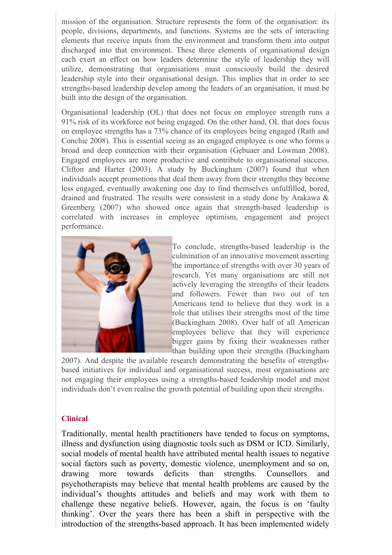mission of the organisation. Structure represents the form of the organisation: its people, divisions, departments, and functions. Systems are the sets of interacting elements that receive inputs from the environment and transform them into output discharged into that environment. These three elements of organisational design each exert an effect on how leaders determine the style of leadership they will utilize, demonstrating that organisations must consciously build the desired leadership style into their organisational design. This implies that in order to see strengths-based leadership develop among the leaders of an organisation, it must be built into the design of the organisation.

Organisational leadership (OL) that does not focus on employee strength runs a 91% risk of its workforce not being engaged. On the other hand, OL that does focus on employee strengths has a 73% chance of its employees being engaged (Rath and Conchie 2008). This is essential seeing as an engaged employee is one who forms a broad and deep connection with their organisation (Gebuaer and Lowman 2008). Engaged employees are more productive and contribute to organisational success. Clifton and Harter (2003). A study by Buckingham (2007) found that when individuals accept promotions that deal them away from their strengths they become less engaged, eventually awakening one day to find themselves unfulfilled, bored, drained and frustrated. The results were consistent in a study done by Arakawa & Greenberg (2007) who showed once again that strength-based leadership is correlated with increases in employee optimism, engagement and project performance.



To conclude, strengths-based leadership is the culmination of an innovative movement asserting the importance of strengths with over 30 years of research. Yet many organisations are still not actively leveraging the strengths of their leaders and followers. Fewer than two out of ten Americans tend to believe that they work in a role that utilises their strengths most of the time (Buckingham 2008). Over half of all American employees believe that they will experience bigger gains by fixing their weaknesses rather than building upon their strengths (Buckingham

2007). And despite the available research demonstrating the benefits of strengthsbased initiatives for individual and organisational success, most organisations are not engaging their employees using a strengths-based leadership model and most individuals don't even realise the growth potential of building upon their strengths.

#### **Clinical**

Traditionally, mental health practitioners have tended to focus on symptoms, illness and dysfunction using diagnostic tools such as DSM or ICD. Similarly, social models of mental health have attributed mental health issues to negative social factors such as poverty, domestic violence, unemployment and so on, drawing more towards deficits than strengths. Counsellors and psychotherapists may believe that mental health problems are caused by the individual's thoughts attitudes and beliefs and may work with them to challenge these negative beliefs. However, again, the focus is on 'faulty thinking'. Over the years there has been a shift in perspective with the introduction of the strengths-based approach. It has been implemented widely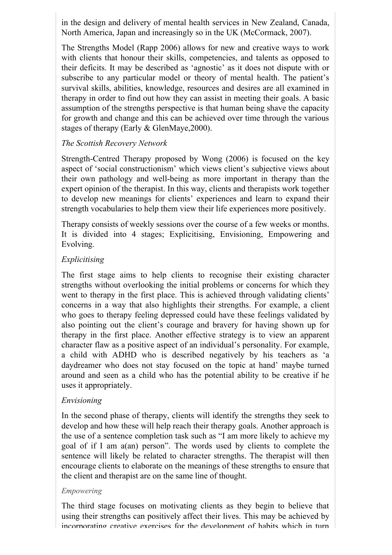in the design and delivery of mental health services in New Zealand, Canada, North America, Japan and increasingly so in the UK (McCormack, 2007).

The Strengths Model (Rapp 2006) allows for new and creative ways to work with clients that honour their skills, competencies, and talents as opposed to their deficits. It may be described as 'agnostic' as it does not dispute with or subscribe to any particular model or theory of mental health. The patient's survival skills, abilities, knowledge, resources and desires are all examined in therapy in order to find out how they can assist in meeting their goals. A basic assumption of the strengths perspective is that human being shave the capacity for growth and change and this can be achieved over time through the various stages of therapy (Early & GlenMaye,2000).

## *The Scottish Recovery Network*

Strength-Centred Therapy proposed by Wong (2006) is focused on the key aspect of 'social constructionism' which views client's subjective views about their own pathology and well-being as more important in therapy than the expert opinion of the therapist. In this way, clients and therapists work together to develop new meanings for clients' experiences and learn to expand their strength vocabularies to help them view their life experiences more positively.

Therapy consists of weekly sessions over the course of a few weeks or months. It is divided into 4 stages; Explicitising, Envisioning, Empowering and Evolving.

## *Explicitising*

The first stage aims to help clients to recognise their existing character strengths without overlooking the initial problems or concerns for which they went to therapy in the first place. This is achieved through validating clients' concerns in a way that also highlights their strengths. For example, a client who goes to therapy feeling depressed could have these feelings validated by also pointing out the client's courage and bravery for having shown up for therapy in the first place. Another effective strategy is to view an apparent character flaw as a positive aspect of an individual's personality. For example, a child with ADHD who is described negatively by his teachers as 'a daydreamer who does not stay focused on the topic at hand' maybe turned around and seen as a child who has the potential ability to be creative if he uses it appropriately.

## *Envisioning*

In the second phase of therapy, clients will identify the strengths they seek to develop and how these will help reach their therapy goals. Another approach is the use of a sentence completion task such as "I am more likely to achieve my goal of if I am a(an) person". The words used by clients to complete the sentence will likely be related to character strengths. The therapist will then encourage clients to elaborate on the meanings of these strengths to ensure that the client and therapist are on the same line of thought.

#### *Empowering*

The third stage focuses on motivating clients as they begin to believe that using their strengths can positively affect their lives. This may be achieved by incorporating creative exercises for the development of habits which in turn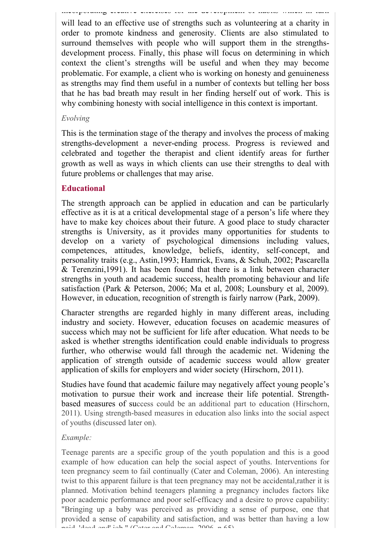incorporating creative exercises for the development of habits which in turn will lead to an effective use of strengths such as volunteering at a charity in order to promote kindness and generosity. Clients are also stimulated to surround themselves with people who will support them in the strengthsdevelopment process. Finally, this phase will focus on determining in which context the client's strengths will be useful and when they may become problematic. For example, a client who is working on honesty and genuineness as strengths may find them useful in a number of contexts but telling her boss that he has bad breath may result in her finding herself out of work. This is why combining honesty with social intelligence in this context is important.

#### *Evolving*

This is the termination stage of the therapy and involves the process of making strengths-development a never-ending process. Progress is reviewed and celebrated and together the therapist and client identify areas for further growth as well as ways in which clients can use their strengths to deal with future problems or challenges that may arise.

### **Educational**

The strength approach can be applied in education and can be particularly effective as it is at a critical developmental stage of a person's life where they have to make key choices about their future. A good place to study character strengths is University, as it provides many opportunities for students to develop on a variety of psychological dimensions including values, competences, attitudes, knowledge, beliefs, identity, self-concept, and personality traits (e.g., Astin,1993; Hamrick, Evans, & Schuh, 2002; Pascarella & Terenzini,1991). It has been found that there is a link between character strengths in youth and academic success, health promoting behaviour and life satisfaction (Park & Peterson, 2006; Ma et al, 2008; Lounsbury et al, 2009). However, in education, recognition of strength is fairly narrow (Park, 2009).

Character strengths are regarded highly in many different areas, including industry and society. However, education focuses on academic measures of success which may not be sufficient for life after education. What needs to be asked is whether strengths identification could enable individuals to progress further, who otherwise would fall through the academic net. Widening the application of strength outside of academic success would allow greater application of skills for employers and wider society (Hirschorn, 2011).

Studies have found that academic failure may negatively affect young people's motivation to pursue their work and increase their life potential. Strengthbased measures of success could be an additional part to education (Hirschorn, 2011). Using strength-based measures in education also links into the social aspect of youths (discussed later on).

#### *Example:*

Teenage parents are a specific group of the youth population and this is a good example of how education can help the social aspect of youths. Interventions for teen pregnancy seem to fail continually (Cater and Coleman, 2006). An interesting twist to this apparent failure is that teen pregnancy may not be accidental,rather it is planned. Motivation behind teenagers planning a pregnancy includes factors like poor academic performance and poor self-efficacy and a desire to prove capability: "Bringing up a baby was perceived as providing a sense of purpose, one that provided a sense of capability and satisfaction, and was better than having a low paid, 'dead-end' job." (Cater and Coleman, 2006, p.65).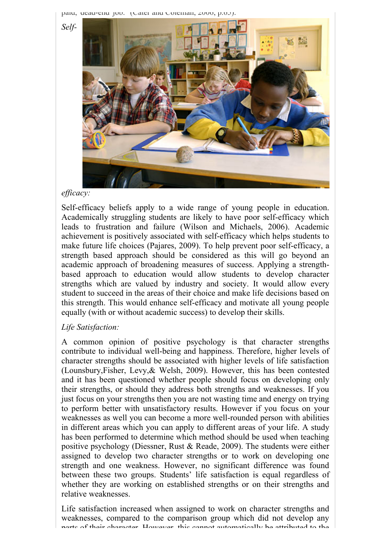paid, ucau-end job. (Cater and Coleman, 2000, p.65).

*Self-*



#### *efficacy:*

Self-efficacy beliefs apply to a wide range of young people in education. Academically struggling students are likely to have poor self-efficacy which leads to frustration and failure (Wilson and Michaels, 2006). Academic achievement is positively associated with self-efficacy which helps students to make future life choices (Pajares, 2009). To help prevent poor self-efficacy, a strength based approach should be considered as this will go beyond an academic approach of broadening measures of success. Applying a strengthbased approach to education would allow students to develop character strengths which are valued by industry and society. It would allow every student to succeed in the areas of their choice and make life decisions based on this strength. This would enhance self-efficacy and motivate all young people equally (with or without academic success) to develop their skills.

#### *Life Satisfaction:*

A common opinion of positive psychology is that character strengths contribute to individual well-being and happiness. Therefore, higher levels of character strengths should be associated with higher levels of life satisfaction (Lounsbury,Fisher, Levy,& Welsh, 2009). However, this has been contested and it has been questioned whether people should focus on developing only their strengths, or should they address both strengths and weaknesses. If you just focus on your strengths then you are not wasting time and energy on trying to perform better with unsatisfactory results. However if you focus on your weaknesses as well you can become a more well-rounded person with abilities in different areas which you can apply to different areas of your life. A study has been performed to determine which method should be used when teaching positive psychology (Diessner, Rust & Reade, 2009). The students were either assigned to develop two character strengths or to work on developing one strength and one weakness. However, no significant difference was found between these two groups. Students' life satisfaction is equal regardless of whether they are working on established strengths or on their strengths and relative weaknesses.

Life satisfaction increased when assigned to work on character strengths and weaknesses, compared to the comparison group which did not develop any parts of their character. However, this cannot automatically be attributed to the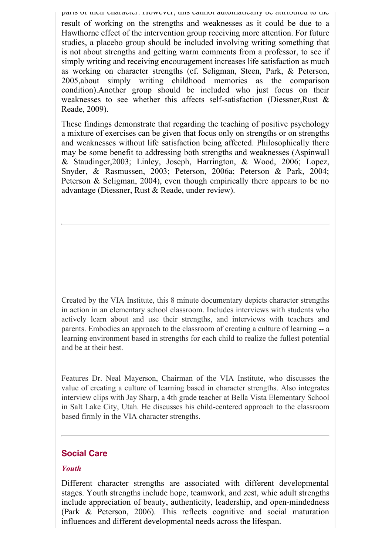parts of their character. However, this cannot automatically be attributed to the result of working on the strengths and weaknesses as it could be due to a Hawthorne effect of the intervention group receiving more attention. For future studies, a placebo group should be included involving writing something that is not about strengths and getting warm comments from a professor, to see if simply writing and receiving encouragement increases life satisfaction as much as working on character strengths (cf. Seligman, Steen, Park, & Peterson, 2005,about simply writing childhood memories as the comparison condition).Another group should be included who just focus on their weaknesses to see whether this affects self-satisfaction (Diessner,Rust & Reade, 2009).

These findings demonstrate that regarding the teaching of positive psychology a mixture of exercises can be given that focus only on strengths or on strengths and weaknesses without life satisfaction being affected. Philosophically there may be some benefit to addressing both strengths and weaknesses (Aspinwall & Staudinger,2003; Linley, Joseph, Harrington, & Wood, 2006; Lopez, Snyder, & Rasmussen, 2003; Peterson, 2006a; Peterson & Park, 2004; Peterson & Seligman, 2004), even though empirically there appears to be no advantage (Diessner, Rust & Reade, under review).

Created by the VIA Institute, this 8 minute documentary depicts character strengths in action in an elementary school classroom. Includes interviews with students who actively learn about and use their strengths, and interviews with teachers and parents. Embodies an approach to the classroom of creating a culture of learning -- a learning environment based in strengths for each child to realize the fullest potential and be at their best.

Features Dr. Neal Mayerson, Chairman of the VIA Institute, who discusses the value of creating a culture of learning based in character strengths. Also integrates interview clips with Jay Sharp, a 4th grade teacher at Bella Vista Elementary School in Salt Lake City, Utah. He discusses his child-centered approach to the classroom based firmly in the VIA character strengths.

## **Social Care**

#### *Youth*

Different character strengths are associated with different developmental stages. Youth strengths include hope, teamwork, and zest, whie adult strengths include appreciation of beauty, authenticity, leadership, and open-mindedness (Park & Peterson, 2006). This reflects cognitive and social maturation influences and different developmental needs across the lifespan.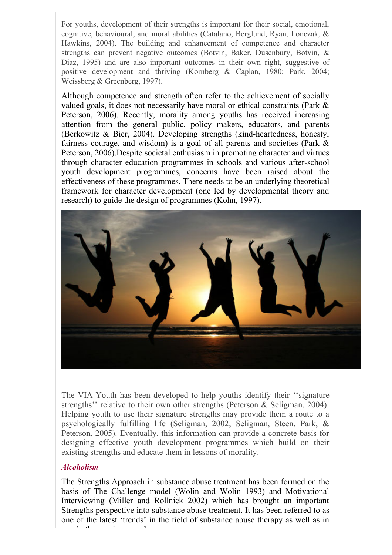For youths, development of their strengths is important for their social, emotional, cognitive, behavioural, and moral abilities (Catalano, Berglund, Ryan, Lonczak, & Hawkins, 2004). The building and enhancement of competence and character strengths can prevent negative outcomes (Botvin, Baker, Dusenbury, Botvin, & Diaz, 1995) and are also important outcomes in their own right, suggestive of positive development and thriving (Kornberg & Caplan, 1980; Park, 2004; Weissberg & Greenberg, 1997).

Although competence and strength often refer to the achievement of socially valued goals, it does not necessarily have moral or ethical constraints (Park & Peterson, 2006). Recently, morality among youths has received increasing attention from the general public, policy makers, educators, and parents (Berkowitz & Bier, 2004). Developing strengths (kind-heartedness, honesty, fairness courage, and wisdom) is a goal of all parents and societies (Park & Peterson, 2006).Despite societal enthusiasm in promoting character and virtues through character education programmes in schools and various after-school youth development programmes, concerns have been raised about the effectiveness of these programmes. There needs to be an underlying theoretical framework for character development (one led by developmental theory and research) to guide the design of programmes (Kohn, 1997).



The VIA-Youth has been developed to help youths identify their ''signature strengths'' relative to their own other strengths (Peterson & Seligman, 2004). Helping youth to use their signature strengths may provide them a route to a psychologically fulfilling life (Seligman, 2002; Seligman, Steen, Park, & Peterson, 2005). Eventually, this information can provide a concrete basis for designing effective youth development programmes which build on their existing strengths and educate them in lessons of morality.

#### *Alcoholism*

The Strengths Approach in substance abuse treatment has been formed on the basis of The Challenge model (Wolin and Wolin 1993) and Motivational Interviewing (Miller and Rollnick 2002) which has brought an important Strengths perspective into substance abuse treatment. It has been referred to as one of the latest 'trends' in the field of substance abuse therapy as well as in psychotherapy in general.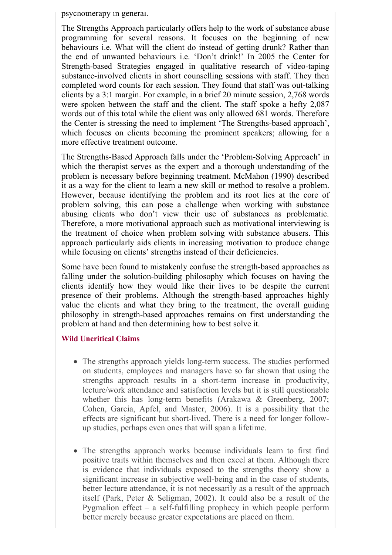psychotherapy in general.

The Strengths Approach particularly offers help to the work of substance abuse programming for several reasons. It focuses on the beginning of new behaviours i.e. What will the client do instead of getting drunk? Rather than the end of unwanted behaviours i.e. 'Don't drink!' In 2005 the Center for Strength-based Strategies engaged in qualitative research of video-taping substance-involved clients in short counselling sessions with staff. They then completed word counts for each session. They found that staff was out-talking clients by a 3:1 margin. For example, in a brief 20 minute session, 2,768 words were spoken between the staff and the client. The staff spoke a hefty 2,087 words out of this total while the client was only allowed 681 words. Therefore the Center is stressing the need to implement 'The Strengths-based approach', which focuses on clients becoming the prominent speakers; allowing for a more effective treatment outcome.

The Strengths-Based Approach falls under the 'Problem-Solving Approach' in which the therapist serves as the expert and a thorough understanding of the problem is necessary before beginning treatment. McMahon (1990) described it as a way for the client to learn a new skill or method to resolve a problem. However, because identifying the problem and its root lies at the core of problem solving, this can pose a challenge when working with substance abusing clients who don't view their use of substances as problematic. Therefore, a more motivational approach such as motivational interviewing is the treatment of choice when problem solving with substance abusers. This approach particularly aids clients in increasing motivation to produce change while focusing on clients' strengths instead of their deficiencies.

Some have been found to mistakenly confuse the strength-based approaches as falling under the solution-building philosophy which focuses on having the clients identify how they would like their lives to be despite the current presence of their problems. Although the strength-based approaches highly value the clients and what they bring to the treatment, the overall guiding philosophy in strength-based approaches remains on first understanding the problem at hand and then determining how to best solve it.

## **Wild Uncritical Claims**

- The strengths approach yields long-term success. The studies performed on students, employees and managers have so far shown that using the strengths approach results in a short-term increase in productivity, lecture/work attendance and satisfaction levels but it is still questionable whether this has long-term benefits (Arakawa & Greenberg, 2007; Cohen, Garcia, Apfel, and Master, 2006). It is a possibility that the effects are significant but short-lived. There is a need for longer followup studies, perhaps even ones that will span a lifetime.
- The strengths approach works because individuals learn to first find positive traits within themselves and then excel at them. Although there is evidence that individuals exposed to the strengths theory show a significant increase in subjective well-being and in the case of students, better lecture attendance, it is not necessarily as a result of the approach itself (Park, Peter & Seligman, 2002). It could also be a result of the Pygmalion effect – a self-fulfilling prophecy in which people perform better merely because greater expectations are placed on them.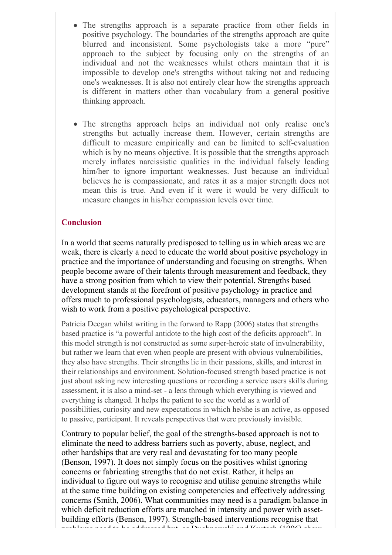- The strengths approach is a separate practice from other fields in positive psychology. The boundaries of the strengths approach are quite blurred and inconsistent. Some psychologists take a more "pure" approach to the subject by focusing only on the strengths of an individual and not the weaknesses whilst others maintain that it is impossible to develop one's strengths without taking not and reducing one's weaknesses. It is also not entirely clear how the strengths approach is different in matters other than vocabulary from a general positive thinking approach.
- The strengths approach helps an individual not only realise one's strengths but actually increase them. However, certain strengths are difficult to measure empirically and can be limited to self-evaluation which is by no means objective. It is possible that the strengths approach merely inflates narcissistic qualities in the individual falsely leading him/her to ignore important weaknesses. Just because an individual believes he is compassionate, and rates it as a major strength does not mean this is true. And even if it were it would be very difficult to measure changes in his/her compassion levels over time.

## **Conclusion**

In a world that seems naturally predisposed to telling us in which areas we are weak, there is clearly a need to educate the world about positive psychology in practice and the importance of understanding and focusing on strengths. When people become aware of their talents through measurement and feedback, they have a strong position from which to view their potential. Strengths based development stands at the forefront of positive psychology in practice and offers much to professional psychologists, educators, managers and others who wish to work from a positive psychological perspective.

Patricia Deegan whilst writing in the forward to Rapp (2006) states that strengths based practice is "a powerful antidote to the high cost of the deficits approach". In this model strength is not constructed as some super-heroic state of invulnerability, but rather we learn that even when people are present with obvious vulnerabilities, they also have strengths. Their strengths lie in their passions, skills, and interest in their relationships and environment. Solution-focused strength based practice is not just about asking new interesting questions or recording a service users skills during assessment, it is also a mind-set - a lens through which everything is viewed and everything is changed. It helps the patient to see the world as a world of possibilities, curiosity and new expectations in which he/she is an active, as opposed to passive, participant. It reveals perspectives that were previously invisible.

Contrary to popular belief, the goal of the strengths-based approach is not to eliminate the need to address barriers such as poverty, abuse, neglect, and other hardships that are very real and devastating for too many people (Benson, 1997). It does not simply focus on the positives whilst ignoring concerns or fabricating strengths that do not exist. Rather, it helps an individual to figure out ways to recognise and utilise genuine strengths while at the same time building on existing competencies and effectively addressing concerns (Smith, 2006). What communities may need is a paradigm balance in which deficit reduction efforts are matched in intensity and power with assetbuilding efforts (Benson, 1997). Strength-based interventions recognise that problems need to be addressed but, as Duchnowski and Kurtash (1996) show,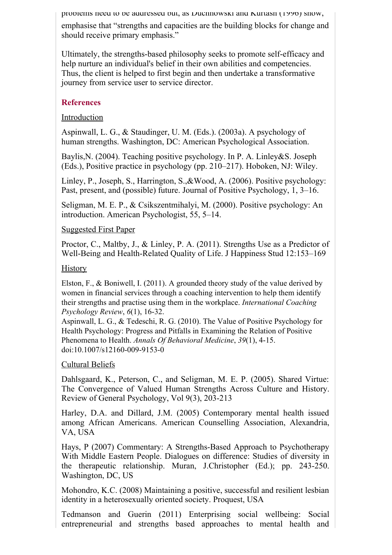problems need to be addressed but, as Duchnowski and Kurtash (1996) show,

emphasise that "strengths and capacities are the building blocks for change and should receive primary emphasis."

Ultimately, the strengths-based philosophy seeks to promote self-efficacy and help nurture an individual's belief in their own abilities and competencies. Thus, the client is helped to first begin and then undertake a transformative journey from service user to service director.

## **References**

## Introduction

Aspinwall, L. G., & Staudinger, U. M. (Eds.). (2003a). A psychology of human strengths. Washington, DC: American Psychological Association.

Baylis,N. (2004). Teaching positive psychology. In P. A. Linley&S. Joseph (Eds.), Positive practice in psychology (pp. 210–217). Hoboken, NJ: Wiley.

Linley, P., Joseph, S., Harrington, S.,&Wood, A. (2006). Positive psychology: Past, present, and (possible) future. Journal of Positive Psychology, 1, 3–16.

Seligman, M. E. P., & Csikszentmihalyi, M. (2000). Positive psychology: An introduction. American Psychologist, 55, 5–14.

## Suggested First Paper

Proctor, C., Maltby, J., & Linley, P. A. (2011). Strengths Use as a Predictor of Well-Being and Health-Related Quality of Life. J Happiness Stud 12:153–169

## **History**

Elston, F., & Boniwell, I. (2011). A grounded theory study of the value derived by women in financial services through a coaching intervention to help them identify their strengths and practise using them in the workplace. *International Coaching Psychology Review*, *6*(1), 16-32.

Aspinwall, L. G., & Tedeschi, R. G. (2010). The Value of Positive Psychology for Health Psychology: Progress and Pitfalls in Examining the Relation of Positive Phenomena to Health. *Annals Of Behavioral Medicine*, *39*(1), 4-15. doi:10.1007/s12160-009-9153-0

## Cultural Beliefs

Dahlsgaard, K., Peterson, C., and Seligman, M. E. P. (2005). Shared Virtue: The Convergence of Valued Human Strengths Across Culture and History. Review of General Psychology, Vol 9(3), 203-213

Harley, D.A. and Dillard, J.M. (2005) Contemporary mental health issued among African Americans. American Counselling Association, Alexandria, VA, USA

Hays, P (2007) Commentary: A Strengths-Based Approach to Psychotherapy With Middle Eastern People. Dialogues on difference: Studies of diversity in the therapeutic relationship. Muran, J.Christopher (Ed.); pp. 243-250. Washington, DC, US

Mohondro, K.C. (2008) Maintaining a positive, successful and resilient lesbian identity in a heterosexually oriented society. Proquest, USA

Tedmanson and Guerin (2011) Enterprising social wellbeing: Social entrepreneurial and strengths based approaches to mental health and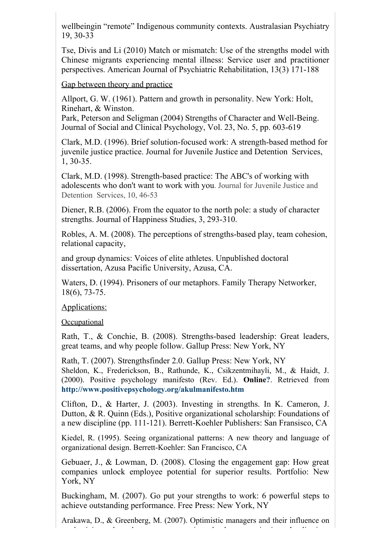wellbeingin "remote" Indigenous community contexts. Australasian Psychiatry 19, 30-33

Tse, Divis and Li (2010) Match or mismatch: Use of the strengths model with Chinese migrants experiencing mental illness: Service user and practitioner perspectives. American Journal of Psychiatric Rehabilitation, 13(3) 171-188

Gap between theory and practice

Allport, G. W. (1961). Pattern and growth in personality. New York: Holt, Rinehart, & Winston.

Park, Peterson and Seligman (2004) Strengths of Character and Well-Being. Journal of Social and Clinical Psychology, Vol. 23, No. 5, pp. 603-619

Clark, M.D. (1996). Brief solution-focused work: A strength-based method for juvenile justice practice. Journal for Juvenile Justice and Detention Services, 1, 30-35.

Clark, M.D. (1998). Strength-based practice: The ABC's of working with adolescents who don't want to work with you. Journal for Juvenile Justice and Detention Services, 10, 46-53

Diener, R.B. (2006). From the equator to the north pole: a study of character strengths. Journal of Happiness Studies, 3, 293-310.

Robles, A. M. (2008). The perceptions of strengths-based play, team cohesion, relational capacity,

and group dynamics: Voices of elite athletes. Unpublished doctoral dissertation, Azusa Pacific University, Azusa, CA.

Waters, D. (1994). Prisoners of our metaphors. Family Therapy Networker, 18(6), 73-75.

Applications:

**Occupational** 

Rath, T., & Conchie, B. (2008). Strengths-based leadership: Great leaders, great teams, and why people follow. Gallup Press: New York, NY

Rath, T. (2007). Strengthsfinder 2.0. Gallup Press: New York, NY Sheldon, K., Frederickson, B., Rathunde, K., Csikzentmihayli, M., & Haidt, J. (2000). Positive psychology manifesto (Rev. Ed.). **Online?**. Retrieved from **http://www.positivepsychology.org/akulmanifesto.htm**

Clifton, D., & Harter, J. (2003). Investing in strengths. In K. Cameron, J. Dutton, & R. Quinn (Eds.), Positive organizational scholarship: Foundations of a new discipline (pp. 111-121). Berrett-Koehler Publishers: San Fransisco, CA

Kiedel, R. (1995). Seeing organizational patterns: A new theory and language of organizational design. Berrett-Koehler: San Francisco, CA

Gebuaer, J., & Lowman, D. (2008). Closing the engagement gap: How great companies unlock employee potential for superior results. Portfolio: New York, NY

Buckingham, M. (2007). Go put your strengths to work: 6 powerful steps to achieve outstanding performance. Free Press: New York, NY

Arakawa, D., & Greenberg, M. (2007). Optimistic managers and their influence on productivity and employee engagement in technology organizations: Implications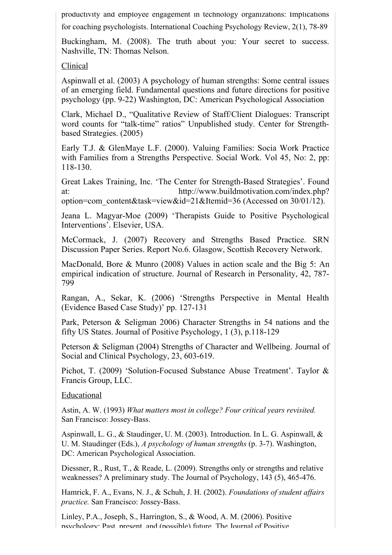productivity and employee engagement in technology organizations: Implications

for coaching psychologists. International Coaching Psychology Review, 2(1), 78-89

Buckingham, M. (2008). The truth about you: Your secret to success. Nashville, TN: Thomas Nelson.

## Clinical

Aspinwall et al. (2003) A psychology of human strengths: Some central issues of an emerging field. Fundamental questions and future directions for positive psychology (pp. 9-22) Washington, DC: American Psychological Association

Clark, Michael D., "Qualitative Review of Staff/Client Dialogues: Transcript word counts for "talk-time" ratios" Unpublished study. Center for Strengthbased Strategies. (2005)

Early T.J. & GlenMaye L.F. (2000). Valuing Families: Socia Work Practice with Families from a Strengths Perspective. Social Work. Vol 45, No: 2, pp: 118-130.

Great Lakes Training, Inc. 'The Center for Strength-Based Strategies'. Found at: http://www.buildmotivation.com/index.php? option=com\_content&task=view&id=21&Itemid=36 (Accessed on 30/01/12).

Jeana L. Magyar-Moe (2009) 'Therapists Guide to Positive Psychological Interventions'. Elsevier, USA.

McCormack, J. (2007) Recovery and Strengths Based Practice. SRN Discussion Paper Series. Report No.6. Glasgow, Scottish Recovery Network.

MacDonald, Bore & Munro (2008) Values in action scale and the Big 5: An empirical indication of structure. Journal of Research in Personality, 42, 787- 799

Rangan, A., Sekar, K. (2006) 'Strengths Perspective in Mental Health (Evidence Based Case Study)' pp. 127-131

Park, Peterson & Seligman 2006) Character Strengths in 54 nations and the fifty US States. Journal of Positive Psychology, 1 (3), p.118-129

Peterson & Seligman (2004) Strengths of Character and Wellbeing. Journal of Social and Clinical Psychology, 23, 603-619.

Pichot, T. (2009) 'Solution-Focused Substance Abuse Treatment'. Taylor & Francis Group, LLC.

## Educational

Astin, A. W. (1993) *What matters most in college? Four critical years revisited.* San Francisco: Jossey-Bass.

Aspinwall, L. G., & Staudinger, U. M. (2003). Introduction. In L. G. Aspinwall, & U. M. Staudinger (Eds.), *A psychology of human strengths* (p. 3-7). Washington, DC: American Psychological Association.

Diessner, R., Rust, T., & Reade, L. (2009). Strengths only or strengths and relative weaknesses? A preliminary study. The Journal of Psychology, 143 (5), 465-476.

Hamrick, F. A., Evans, N. J., & Schuh, J. H. (2002). *Foundations of student affairs practice.* San Francisco: Jossey-Bass.

Linley, P.A., Joseph, S., Harrington, S., & Wood, A. M. (2006). Positive psychology: Past, present, and (possible) future. The Journal of Positive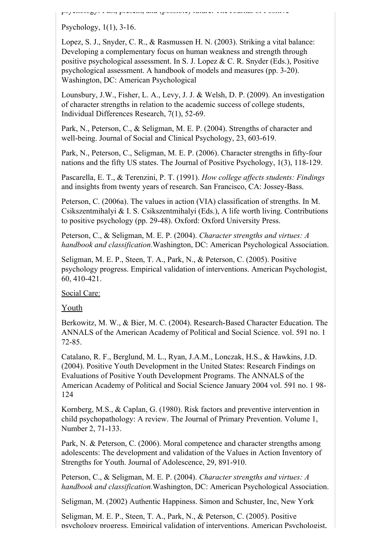psychology: Past, present, and (possible) future. The Journal of Positive

Psychology, 1(1), 3-16.

Lopez, S. J., Snyder, C. R., & Rasmussen H. N. (2003). Striking a vital balance: Developing a complementary focus on human weakness and strength through positive psychological assessment. In S. J. Lopez & C. R. Snyder (Eds.), Positive psychological assessment. A handbook of models and measures (pp. 3-20). Washington, DC: American Psychological

Lounsbury, J.W., Fisher, L. A., Levy, J. J. & Welsh, D. P. (2009). An investigation of character strengths in relation to the academic success of college students, Individual Differences Research, 7(1), 52-69.

Park, N., Peterson, C., & Seligman, M. E. P. (2004). Strengths of character and well-being. Journal of Social and Clinical Psychology, 23, 603-619.

Park, N., Peterson, C., Seligman, M. E. P. (2006). Character strengths in fifty-four nations and the fifty US states. The Journal of Positive Psychology, 1(3), 118-129.

Pascarella, E. T., & Terenzini, P. T. (1991). *How college affects students: Findings* and insights from twenty years of research. San Francisco, CA: Jossey-Bass.

Peterson, C. (2006a). The values in action (VIA) classification of strengths. In M. Csikszentmihalyi & I. S. Csikszentmihalyi (Eds.), A life worth living. Contributions to positive psychology (pp. 29-48). Oxford: Oxford University Press.

Peterson, C., & Seligman, M. E. P. (2004). *Character strengths and virtues: A handbook and classification.*Washington, DC: American Psychological Association.

Seligman, M. E. P., Steen, T. A., Park, N., & Peterson, C. (2005). Positive psychology progress. Empirical validation of interventions. American Psychologist, 60, 410-421.

Social Care:

Youth

Berkowitz, M. W., & Bier, M. C. (2004). Research-Based Character Education. The ANNALS of the American Academy of Political and Social Science. vol. 591 no. 1 72-85.

Catalano, R. F., Berglund, M. L., Ryan, J.A.M., Lonczak, H.S., & Hawkins, J.D. (2004). Positive Youth Development in the United States: Research Findings on Evaluations of Positive Youth Development Programs. The ANNALS of the American Academy of Political and Social Science January 2004 vol. 591 no. 1 98- 124

Kornberg, M.S., & Caplan, G. (1980). Risk factors and preventive intervention in child psychopathology: A review. The Journal of Primary Prevention. Volume 1, Number 2, 71-133.

Park, N. & Peterson, C. (2006). Moral competence and character strengths among adolescents: The development and validation of the Values in Action Inventory of Strengths for Youth. Journal of Adolescence, 29, 891-910.

Peterson, C., & Seligman, M. E. P. (2004). *Character strengths and virtues: A handbook and classification.*Washington, DC: American Psychological Association.

Seligman, M. (2002) Authentic Happiness. Simon and Schuster, Inc, New York

Seligman, M. E. P., Steen, T. A., Park, N., & Peterson, C. (2005). Positive psychology progress. Empirical validation of interventions. American Psychologist,